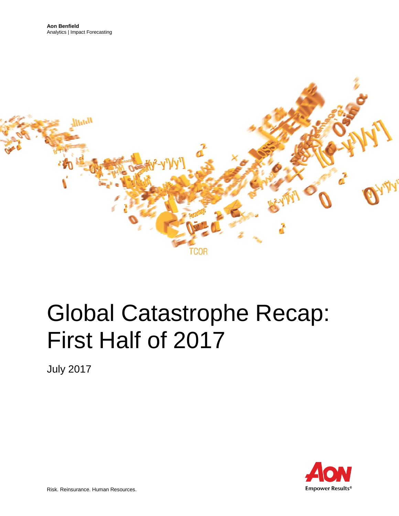

# Global Catastrophe Recap: First Half of 2017

July 2017

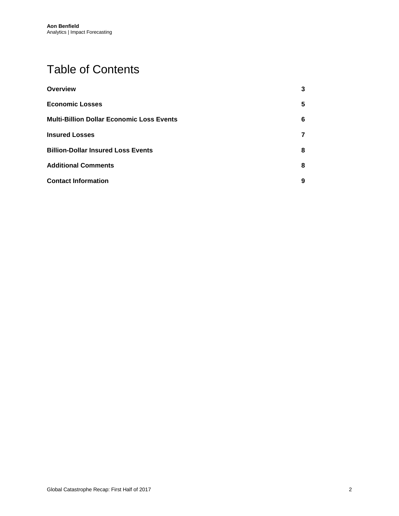# Table of Contents

| <b>Overview</b>                                  | 3 |
|--------------------------------------------------|---|
| <b>Economic Losses</b>                           | 5 |
| <b>Multi-Billion Dollar Economic Loss Events</b> | 6 |
| <b>Insured Losses</b>                            | 7 |
| <b>Billion-Dollar Insured Loss Events</b>        | 8 |
| <b>Additional Comments</b>                       | 8 |
| <b>Contact Information</b>                       | 9 |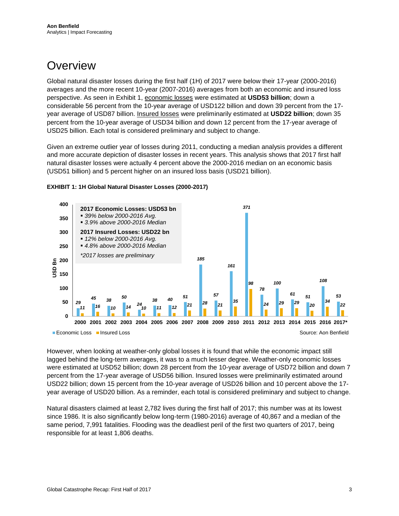### <span id="page-2-0"></span>**Overview**

Global natural disaster losses during the first half (1H) of 2017 were below their 17-year (2000-2016) averages and the more recent 10-year (2007-2016) averages from both an economic and insured loss perspective. As seen in Exhibit 1, economic losses were estimated at **USD53 billion**; down a considerable 56 percent from the 10-year average of USD122 billion and down 39 percent from the 17 year average of USD87 billion. Insured losses were preliminarily estimated at **USD22 billion**; down 35 percent from the 10-year average of USD34 billion and down 12 percent from the 17-year average of USD25 billion. Each total is considered preliminary and subject to change.

Given an extreme outlier year of losses during 2011, conducting a median analysis provides a different and more accurate depiction of disaster losses in recent years. This analysis shows that 2017 first half natural disaster losses were actually 4 percent above the 2000-2016 median on an economic basis (USD51 billion) and 5 percent higher on an insured loss basis (USD21 billion).





However, when looking at weather-only global losses it is found that while the economic impact still lagged behind the long-term averages, it was to a much lesser degree. Weather-only economic losses were estimated at USD52 billion; down 28 percent from the 10-year average of USD72 billion and down 7 percent from the 17-year average of USD56 billion. Insured losses were preliminarily estimated around USD22 billion; down 15 percent from the 10-year average of USD26 billion and 10 percent above the 17 year average of USD20 billion. As a reminder, each total is considered preliminary and subject to change.

Natural disasters claimed at least 2,782 lives during the first half of 2017; this number was at its lowest since 1986. It is also significantly below long-term (1980-2016) average of 40,867 and a median of the same period, 7,991 fatalities. Flooding was the deadliest peril of the first two quarters of 2017, being responsible for at least 1,806 deaths.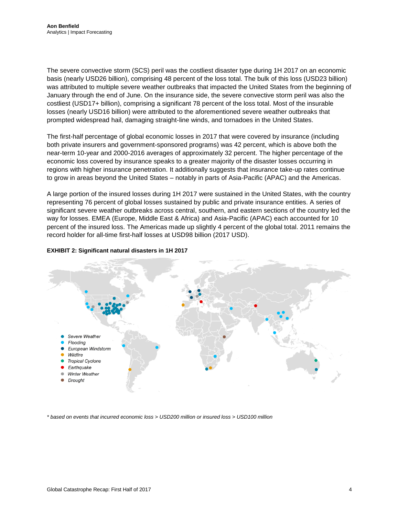The severe convective storm (SCS) peril was the costliest disaster type during 1H 2017 on an economic basis (nearly USD26 billion), comprising 48 percent of the loss total. The bulk of this loss (USD23 billion) was attributed to multiple severe weather outbreaks that impacted the United States from the beginning of January through the end of June. On the insurance side, the severe convective storm peril was also the costliest (USD17+ billion), comprising a significant 78 percent of the loss total. Most of the insurable losses (nearly USD16 billion) were attributed to the aforementioned severe weather outbreaks that prompted widespread hail, damaging straight-line winds, and tornadoes in the United States.

The first-half percentage of global economic losses in 2017 that were covered by insurance (including both private insurers and government-sponsored programs) was 42 percent, which is above both the near-term 10-year and 2000-2016 averages of approximately 32 percent. The higher percentage of the economic loss covered by insurance speaks to a greater majority of the disaster losses occurring in regions with higher insurance penetration. It additionally suggests that insurance take-up rates continue to grow in areas beyond the United States – notably in parts of Asia-Pacific (APAC) and the Americas.

A large portion of the insured losses during 1H 2017 were sustained in the United States, with the country representing 76 percent of global losses sustained by public and private insurance entities. A series of significant severe weather outbreaks across central, southern, and eastern sections of the country led the way for losses. EMEA (Europe, Middle East & Africa) and Asia-Pacific (APAC) each accounted for 10 percent of the insured loss. The Americas made up slightly 4 percent of the global total. 2011 remains the record holder for all-time first-half losses at USD98 billion (2017 USD).





<span id="page-3-0"></span>*\* based on events that incurred economic loss > USD200 million or insured loss > USD100 million*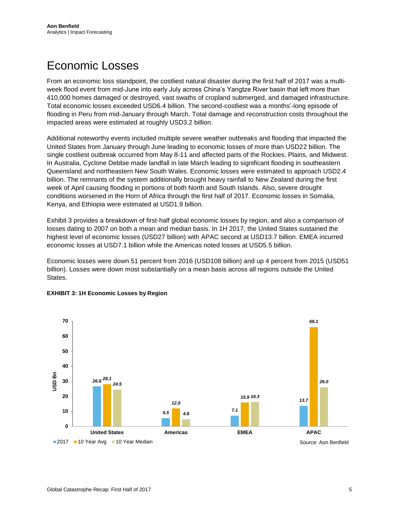## Economic Losses

From an economic loss standpoint, the costliest natural disaster during the first half of 2017 was a multiweek flood event from mid-June into early July across China's Yangtze River basin that left more than 410,000 homes damaged or destroyed, vast swaths of cropland submerged, and damaged infrastructure. Total economic losses exceeded USD6.4 billion. The second-costliest was a months'-long episode of flooding in Peru from mid-January through March. Total damage and reconstruction costs throughout the impacted areas were estimated at roughly USD3.2 billion.

Additional noteworthy events included multiple severe weather outbreaks and flooding that impacted the United States from January through June leading to economic losses of more than USD22 billion. The single costliest outbreak occurred from May 8-11 and affected parts of the Rockies, Plains, and Midwest. In Australia, Cyclone Debbie made landfall in late March leading to significant flooding in southeastern Queensland and northeastern New South Wales. Economic losses were estimated to approach USD2.4 billion. The remnants of the system additionally brought heavy rainfall to New Zealand during the first week of April causing flooding in portions of both North and South Islands. Also, severe drought conditions worsened in the Horn of Africa through the first half of 2017. Economic losses in Somalia, Kenya, and Ethiopia were estimated at USD1.9 billion.

Exhibit 3 provides a breakdown of first-half global economic losses by region, and also a comparison of losses dating to 2007 on both a mean and median basis. In 1H 2017, the United States sustained the highest level of economic losses (USD27 billion) with APAC second at USD13.7 billion. EMEA incurred economic losses at USD7.1 billion while the Americas noted losses at USD5.5 billion.

Economic losses were down 51 percent from 2016 (USD108 billion) and up 4 percent from 2015 (USD51 billion). Losses were down most substantially on a mean basis across all regions outside the United States.



#### **EXHIBIT 3: 1H Economic Losses by Region**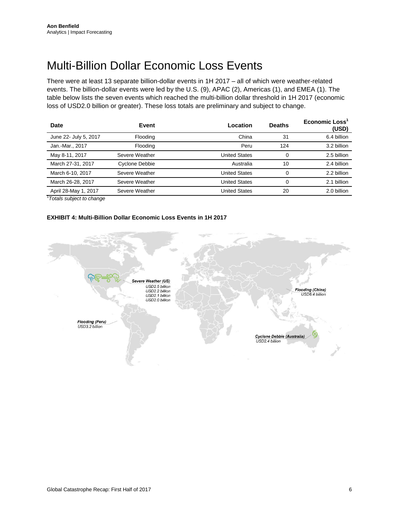### <span id="page-5-0"></span>Multi-Billion Dollar Economic Loss Events

There were at least 13 separate billion-dollar events in 1H 2017 – all of which were weather-related events. The billion-dollar events were led by the U.S. (9), APAC (2), Americas (1), and EMEA (1). The table below lists the seven events which reached the multi-billion dollar threshold in 1H 2017 (economic loss of USD2.0 billion or greater). These loss totals are preliminary and subject to change.

| Date                  | Event          | Location             | <b>Deaths</b> | Economic Loss<br>(USD) |
|-----------------------|----------------|----------------------|---------------|------------------------|
| June 22- July 5, 2017 | Flooding       | China                | 31            | 6.4 billion            |
| Jan.-Mar., 2017       | Flooding       | Peru                 | 124           | 3.2 billion            |
| May 8-11, 2017        | Severe Weather | <b>United States</b> | $\Omega$      | 2.5 billion            |
| March 27-31, 2017     | Cyclone Debbie | Australia            | 10            | 2.4 billion            |
| March 6-10, 2017      | Severe Weather | <b>United States</b> | $\Omega$      | 2.2 billion            |
| March 26-28, 2017     | Severe Weather | <b>United States</b> | $\Omega$      | 2.1 billion            |
| April 28-May 1, 2017  | Severe Weather | <b>United States</b> | 20            | 2.0 billion            |

1 *Totals subject to change*

#### **EXHIBIT 4: Multi-Billion Dollar Economic Loss Events in 1H 2017**

<span id="page-5-1"></span>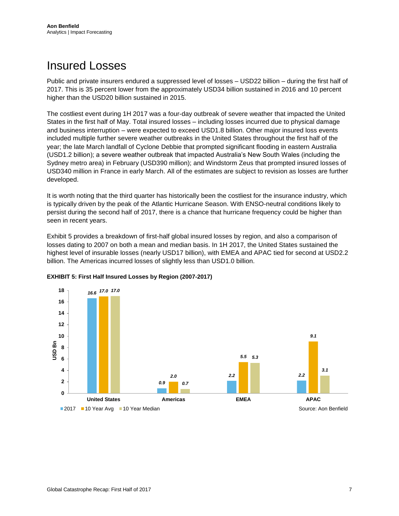### Insured Losses

Public and private insurers endured a suppressed level of losses – USD22 billion – during the first half of 2017. This is 35 percent lower from the approximately USD34 billion sustained in 2016 and 10 percent higher than the USD20 billion sustained in 2015.

The costliest event during 1H 2017 was a four-day outbreak of severe weather that impacted the United States in the first half of May. Total insured losses – including losses incurred due to physical damage and business interruption – were expected to exceed USD1.8 billion. Other major insured loss events included multiple further severe weather outbreaks in the United States throughout the first half of the year; the late March landfall of Cyclone Debbie that prompted significant flooding in eastern Australia (USD1.2 billion); a severe weather outbreak that impacted Australia's New South Wales (including the Sydney metro area) in February (USD390 million); and Windstorm Zeus that prompted insured losses of USD340 million in France in early March. All of the estimates are subject to revision as losses are further developed.

It is worth noting that the third quarter has historically been the costliest for the insurance industry, which is typically driven by the peak of the Atlantic Hurricane Season. With ENSO-neutral conditions likely to persist during the second half of 2017, there is a chance that hurricane frequency could be higher than seen in recent years.

Exhibit 5 provides a breakdown of first-half global insured losses by region, and also a comparison of losses dating to 2007 on both a mean and median basis. In 1H 2017, the United States sustained the highest level of insurable losses (nearly USD17 billion), with EMEA and APAC tied for second at USD2.2 billion. The Americas incurred losses of slightly less than USD1.0 billion.

<span id="page-6-0"></span>

#### **EXHIBIT 5: First Half Insured Losses by Region (2007-2017)**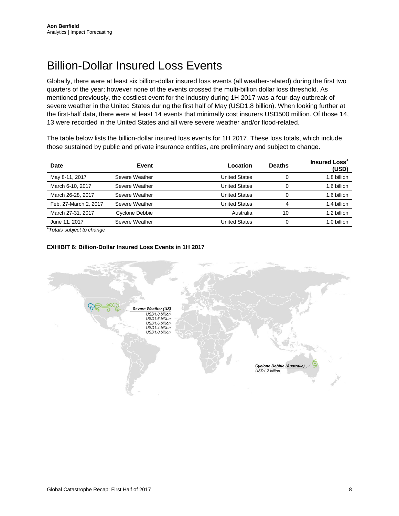## Billion-Dollar Insured Loss Events

Globally, there were at least six billion-dollar insured loss events (all weather-related) during the first two quarters of the year; however none of the events crossed the multi-billion dollar loss threshold. As mentioned previously, the costliest event for the industry during 1H 2017 was a four-day outbreak of severe weather in the United States during the first half of May (USD1.8 billion). When looking further at the first-half data, there were at least 14 events that minimally cost insurers USD500 million. Of those 14, 13 were recorded in the United States and all were severe weather and/or flood-related.

The table below lists the billion-dollar insured loss events for 1H 2017. These loss totals, which include those sustained by public and private insurance entities, are preliminary and subject to change.

| Date                  | Event          | Location             | <b>Deaths</b> | Insured Loss<br>(USD) |
|-----------------------|----------------|----------------------|---------------|-----------------------|
| May 8-11, 2017        | Severe Weather | <b>United States</b> | 0             | 1.8 billion           |
| March 6-10, 2017      | Severe Weather | <b>United States</b> | 0             | 1.6 billion           |
| March 26-28, 2017     | Severe Weather | <b>United States</b> | $\Omega$      | 1.6 billion           |
| Feb. 27-March 2, 2017 | Severe Weather | <b>United States</b> | 4             | 1.4 billion           |
| March 27-31, 2017     | Cyclone Debbie | Australia            | 10            | 1.2 billion           |
| June 11, 2017         | Severe Weather | United States        | $\Omega$      | 1.0 billion           |

1 *Totals subject to change*

#### <span id="page-7-0"></span>**EXHIBIT 6: Billion-Dollar Insured Loss Events in 1H 2017**

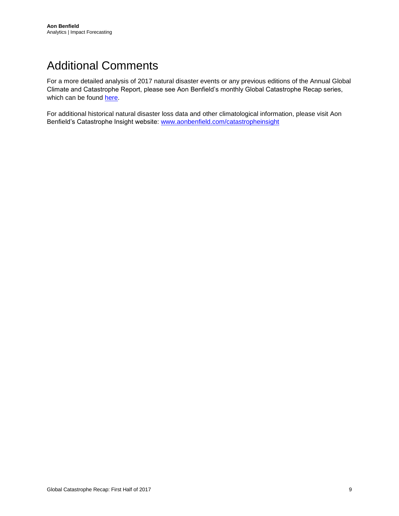# Additional Comments

For a more detailed analysis of 2017 natural disaster events or any previous editions of the Annual Global Climate and Catastrophe Report, please see Aon Benfield's monthly Global Catastrophe Recap series, which can be found [here.](http://thoughtleadership.aonbenfield.com/Pages/home.aspx?reportcategory=impact%20forecastinghttp://thoughtleadership.aonbenfield.com/Pages/home.aspx?reportcategory=impact%20forecasting)

For additional historical natural disaster loss data and other climatological information, please visit Aon Benfield's Catastrophe Insight website: [www.aonbenfield.com/catastropheinsight](http://www.aonbenfield.com/catastropheinsight)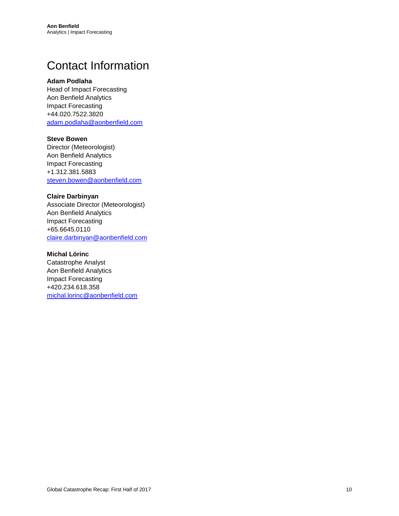## <span id="page-9-0"></span>Contact Information

#### **Adam Podlaha**

Head of Impact Forecasting Aon Benfield Analytics Impact Forecasting +44.020.7522.3820 [adam.podlaha@aonbenfield.com](mailto:adam.podlaha@aonbenfield.com)

#### **Steve Bowen**

Director (Meteorologist) Aon Benfield Analytics Impact Forecasting +1.312.381.5883 [steven.bowen@aonbenfield.com](mailto:steven.bowen@aonbenfield.com)

#### **Claire Darbinyan**

Associate Director (Meteorologist) Aon Benfield Analytics Impact Forecasting +65.6645.0110 [claire.darbinyan@aonbenfield.com](mailto:claire.darbinyan@aonbenfield.com)

#### **Michal Lörinc**

Catastrophe Analyst Aon Benfield Analytics Impact Forecasting +420.234.618.358 [michal.lorinc@aonbenfield.com](mailto:michal.lorinc@aonbenfield.com)